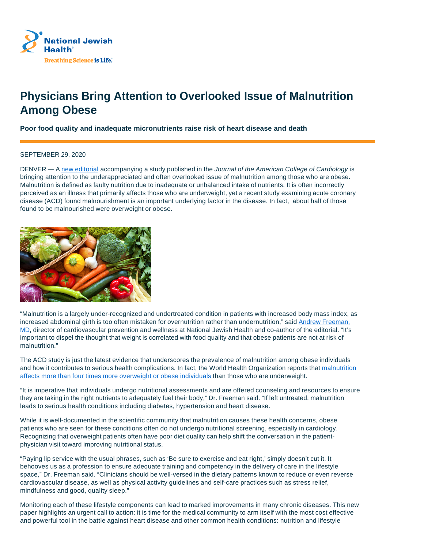

## **Physicians Bring Attention to Overlooked Issue of Malnutrition Among Obese**

**Poor food quality and inadequate micronutrients raise risk of heart disease and death**

## SEPTEMBER 29, 2020

DENVER — A new editorial accompanying a study published in the Journal of the American College of Cardiology is bringing attention to the underappreciated and often overlooked issue of malnutrition among those who are obese. Malnutrition is defined as faulty nutrition due to inadequate or unbalanced intake of nutrients. It is often incorrectly perceived as an illness that primarily affects those who are underweight, yet a recent study examining acute coronary disease (ACD) found malnourishment is an important underlying factor in the disease. In fact, about half of those found to be malnourished were overweight or obese.



"Malnutrition is a largely under-recognized and undertreated condition in patients with increased body mass index, as increased abdominal girth is too often mistaken for overnutrition rather than undernutrition," said Andrew Freeman, MD, director of cardiovascular prevention and wellness at National Jewish Health and co-author of the editorial. "It's important to dispel the thought that weight is correlated with food quality and that obese patients are not at risk of malnutrition."

The ACD study is just the latest evidence that underscores the prevalence of malnutrition among obese individuals and how it contributes to serious health complications. In fact, the World Health Organization reports that malnutrition affects more than four times more overweight or obese individuals than those who are underweight.

"It is imperative that individuals undergo nutritional assessments and are offered counseling and resources to ensure they are taking in the right nutrients to adequately fuel their body," Dr. Freeman said. "If left untreated, malnutrition leads to serious health conditions including diabetes, hypertension and heart disease."

While it is well-documented in the scientific community that malnutrition causes these health concerns, obese patients who are seen for these conditions often do not undergo nutritional screening, especially in cardiology. Recognizing that overweight patients often have poor diet quality can help shift the conversation in the patientphysician visit toward improving nutritional status.

"Paying lip service with the usual phrases, such as 'Be sure to exercise and eat right,' simply doesn't cut it. It behooves us as a profession to ensure adequate training and competency in the delivery of care in the lifestyle space," Dr. Freeman said. "Clinicians should be well-versed in the dietary patterns known to reduce or even reverse cardiovascular disease, as well as physical activity guidelines and self-care practices such as stress relief, mindfulness and good, quality sleep."

Monitoring each of these lifestyle components can lead to marked improvements in many chronic diseases. This new paper highlights an urgent call to action: it is time for the medical community to arm itself with the most cost effective and powerful tool in the battle against heart disease and other common health conditions: nutrition and lifestyle